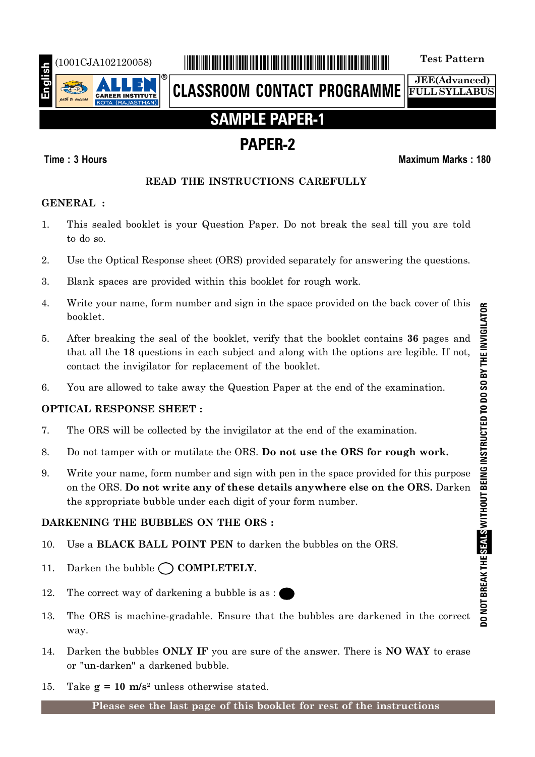

# (1001CJA102120058) \*1001CJA102120058\* **Test Pattern**

**CLASSROOM CONTACT PROGRAMME**

**JEE(Advanced) FULL SYLLABUS**

# **SAMPLE PAPER-1**

# **PAPER-2**

### **Time : 3 Hours Maximum Marks : 180**

### **READ THE INSTRUCTIONS CAREFULLY**

### **GENERAL :**

- 1. This sealed booklet is your Question Paper. Do not break the seal till you are told to do so.
- 2. Use the Optical Response sheet (ORS) provided separately for answering the questions.
- 3. Blank spaces are provided within this booklet for rough work.
- 4. Write your name, form number and sign in the space provided on the back cover of this booklet.
- 5. After breaking the seal of the booklet, verify that the booklet contains **36** pages and that all the **18** questions in each subject and along with the options are legible. If not, contact the invigilator for replacement of the booklet.
- 6. You are allowed to take away the Question Paper at the end of the examination.

### **OPTICAL RESPONSE SHEET :**

- 7. The ORS will be collected by the invigilator at the end of the examination.
- 8. Do not tamper with or mutilate the ORS. **Do not use the ORS for rough work.**
- 9. Write your name, form number and sign with pen in the space provided for this purpose on the ORS. **Do not write any of these details anywhere else on the ORS.** Darken the appropriate bubble under each digit of your form number.

### **DARKENING THE BUBBLES ON THE ORS :**

- 10. Use a **BLACK BALL POINT PEN** to darken the bubbles on the ORS.
- 11. Darken the bubble  $\bigcap$  **COMPLETELY.**
- 12. The correct way of darkening a bubble is as :
- 13. The ORS is machine-gradable. Ensure that the bubbles are darkened in the correct way.
- 14. Darken the bubbles **ONLY IF** you are sure of the answer. There is **NO WAY** to erase or "un-darken" a darkened bubble.
- 15. Take  $g = 10$  m/s<sup>2</sup> unless otherwise stated.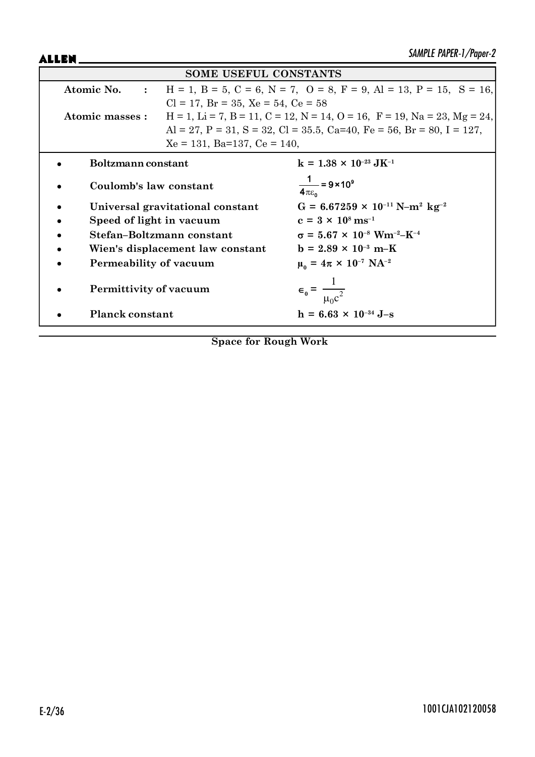ALLEN\_

| <b>SOME USEFUL CONSTANTS</b> |                                                                                                               |                                                                                                     |  |  |  |  |
|------------------------------|---------------------------------------------------------------------------------------------------------------|-----------------------------------------------------------------------------------------------------|--|--|--|--|
|                              | $H = 1$ , $B = 5$ , $C = 6$ , $N = 7$ , $O = 8$ , $F = 9$ , $Al = 13$ , $P = 15$ , $S = 16$ ,<br>Atomic No. : |                                                                                                     |  |  |  |  |
|                              | $Cl = 17$ , $Br = 35$ , $Xe = 54$ , $Ce = 58$                                                                 |                                                                                                     |  |  |  |  |
| Atomic masses :              |                                                                                                               | $H = 1$ , $Li = 7$ , $B = 11$ , $C = 12$ , $N = 14$ , $O = 16$ , $F = 19$ , $Na = 23$ , $Mg = 24$ , |  |  |  |  |
|                              |                                                                                                               | Al = 27, P = 31, S = 32, Cl = 35.5, Ca=40, Fe = 56, Br = 80, I = 127,                               |  |  |  |  |
|                              | $Xe = 131$ , Ba=137, Ce = 140,                                                                                |                                                                                                     |  |  |  |  |
| Boltzmann constant           |                                                                                                               | $k = 1.38 \times 10^{-23} \text{ J} \text{K}^{-1}$                                                  |  |  |  |  |
| Coulomb's law constant       |                                                                                                               | $\frac{1}{4\pi\epsilon_0}$ = 9 × 10 <sup>9</sup>                                                    |  |  |  |  |
|                              | Universal gravitational constant                                                                              | $G = 6.67259 \times 10^{-11} \text{ N} - \text{m}^2 \text{ kg}^{-2}$                                |  |  |  |  |
| Speed of light in vacuum     |                                                                                                               | $c = 3 \times 10^8 \text{ ms}^{-1}$                                                                 |  |  |  |  |
|                              | Stefan-Boltzmann constant                                                                                     | $\sigma = 5.67 \times 10^{-8}$ Wm <sup>-2</sup> -K <sup>-4</sup>                                    |  |  |  |  |
|                              | Wien's displacement law constant                                                                              | $b = 2.89 \times 10^{-3} \text{ m-K}$                                                               |  |  |  |  |
| Permeability of vacuum       |                                                                                                               | $\mu_0 = 4\pi \times 10^{-7} \text{ NA}^{-2}$                                                       |  |  |  |  |
| Permittivity of vacuum       |                                                                                                               | $\epsilon_0 = \frac{1}{\mu_0 c^2}$                                                                  |  |  |  |  |
| <b>Planck constant</b>       |                                                                                                               | $h = 6.63 \times 10^{-34}$ J-s                                                                      |  |  |  |  |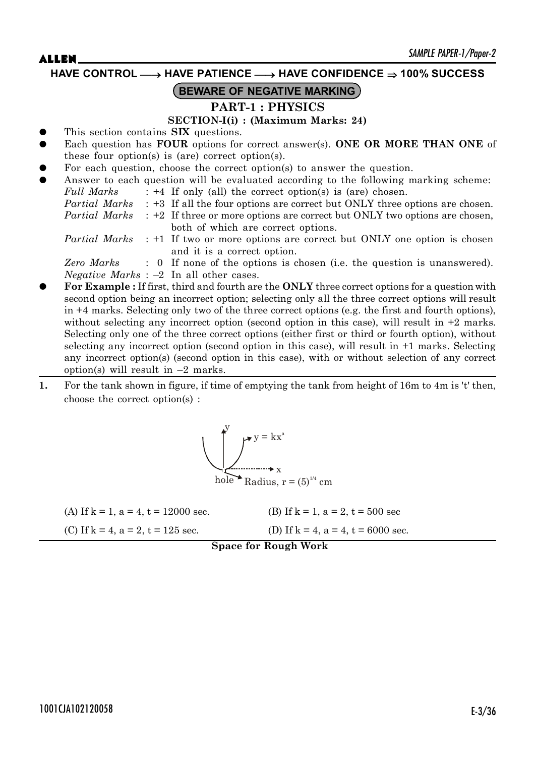**HAVE CONTROL** o **HAVE PATIENCE** o **HAVE CONFIDENCE 100% SUCCESS**

### **BEWARE OF NEGATIVE MARKING**

### **PART-1 : PHYSICS**

**SECTION-I(i) : (Maximum Marks: 24)**

- z This section contains **SIX** questions.
- Each question has **FOUR** options for correct answer(s). ONE OR MORE THAN ONE of these four option(s) is (are) correct option(s).
- For each question, choose the correct option(s) to answer the question.
- Answer to each question will be evaluated according to the following marking scheme: *Full Marks* : +4 If only (all) the correct option(s) is (are) chosen. *Partial Marks* : +3 If all the four options are correct but ONLY three options are chosen. *Partial Marks* : +2 If three or more options are correct but ONLY two options are chosen, both of which are correct options. *Partial Marks* : +1 If two or more options are correct but ONLY one option is chosen and it is a correct option. *Zero Marks* : 0 If none of the options is chosen (i.e. the question is unanswered). *Negative Marks* : –2 In all other cases. z **For Example :** If first, third and fourth are the **ONLY** three correct options for a question with
- second option being an incorrect option; selecting only all the three correct options will result in +4 marks. Selecting only two of the three correct options (e.g. the first and fourth options), without selecting any incorrect option (second option in this case), will result in  $+2$  marks. Selecting only one of the three correct options (either first or third or fourth option), without selecting any incorrect option (second option in this case), will result in +1 marks. Selecting any incorrect option(s) (second option in this case), with or without selection of any correct option(s) will result in  $-2$  marks.
- **1.** For the tank shown in figure, if time of emptying the tank from height of 16m to 4m is 't' then, choose the correct option(s) :



| (A) If $k = 1$ , $a = 4$ , $t = 12000$ sec. | (B) If $k = 1$ , $a = 2$ , $t = 500$ sec   |
|---------------------------------------------|--------------------------------------------|
| (C) If $k = 4$ , $a = 2$ , $t = 125$ sec.   | (D) If $k = 4$ , $a = 4$ , $t = 6000$ sec. |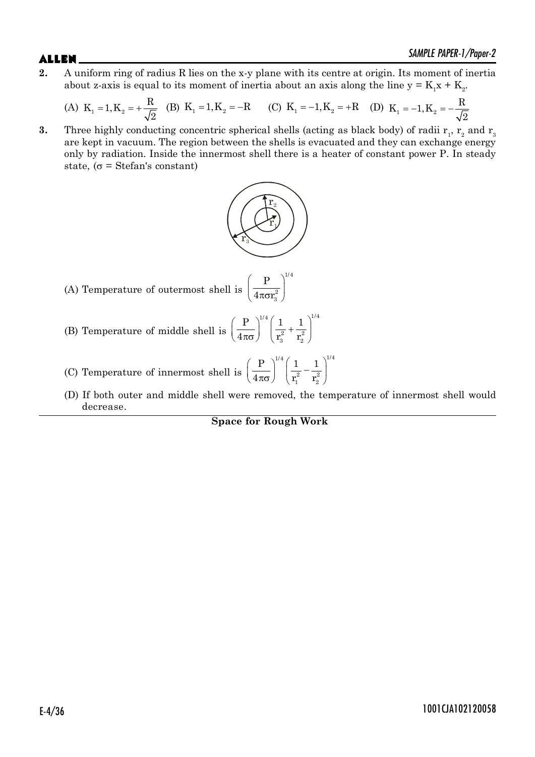**2.** A uniform ring of radius R lies on the x-y plane with its centre at origin. Its moment of inertia about z-axis is equal to its moment of inertia about an axis along the line  $y = K_1 x + K_2$ .

(A) 
$$
K_1 = 1, K_2 = +\frac{R}{\sqrt{2}}
$$
 (B)  $K_1 = 1, K_2 = -R$  (C)  $K_1 = -1, K_2 = +R$  (D)  $K_1 = -1, K_2 = -\frac{R}{\sqrt{2}}$ 

**3.** Three highly conducting concentric spherical shells (acting as black body) of radii  $r_1$ ,  $r_2$  and  $r_3$ are kept in vacuum. The region between the shells is evacuated and they can exchange energy only by radiation. Inside the innermost shell there is a heater of constant power P. In steady state, ( $\sigma$  = Stefan's constant)



2 3

(A) Temperature of outermost shell is  $\left(\frac{\text{P}}{4\pi\sigma\text{r}_3^2}\right)^{\!\!1/4}$ P  $4\pi$ or

- (B) Temperature of middle shell is  $\left(\frac{P}{4\pi\sigma}\right)^{1/4} \left(\frac{1}{r_3^2} + \frac{1}{r_2^2}\right)^{1/4}$ 2  $\frac{1}{2}$ 3  $12$ P 11  $4\pi\sigma$  |  $r_3^2$  r
- (C) Temperature of innermost shell is  $\left(\frac{\text{P}}{4\pi\sigma}\right)^{\!\!1/4}\!\left(\frac{1}{\text{r}_1^2}-\frac{1}{\text{r}_2^2}\right)^{\!\!1/4}$ 2  $\sqrt{2}$  $\frac{1}{2}$  $P^{\prime\prime}$  | 1 | 1  $4\pi\sigma$  |  $r_1^2$  r
- (D) If both outer and middle shell were removed, the temperature of innermost shell would decrease.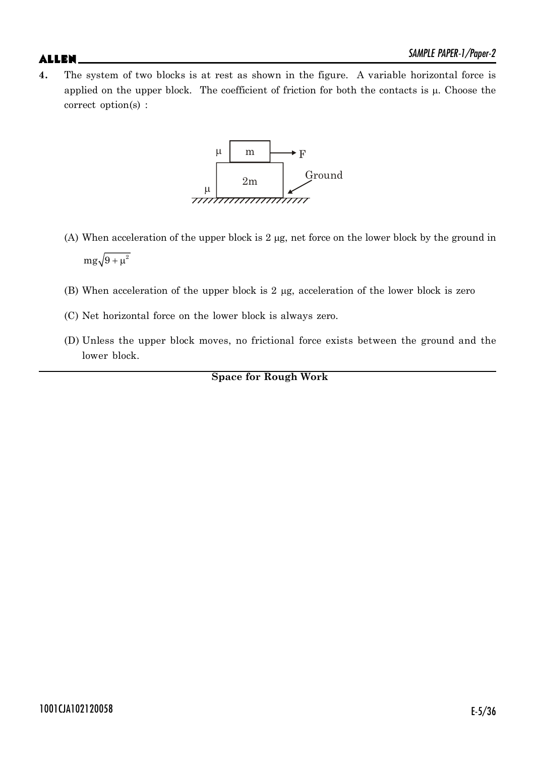**4.** The system of two blocks is at rest as shown in the figure. A variable horizontal force is applied on the upper block. The coefficient of friction for both the contacts is  $\mu$ . Choose the correct option(s) :



- (A) When acceleration of the upper block is  $2 \mu$ g, net force on the lower block by the ground in  $mg\sqrt{9+\mu^2}$
- (B) When acceleration of the upper block is  $2 \mu$ g, acceleration of the lower block is zero
- (C) Net horizontal force on the lower block is always zero.
- (D) Unless the upper block moves, no frictional force exists between the ground and the lower block.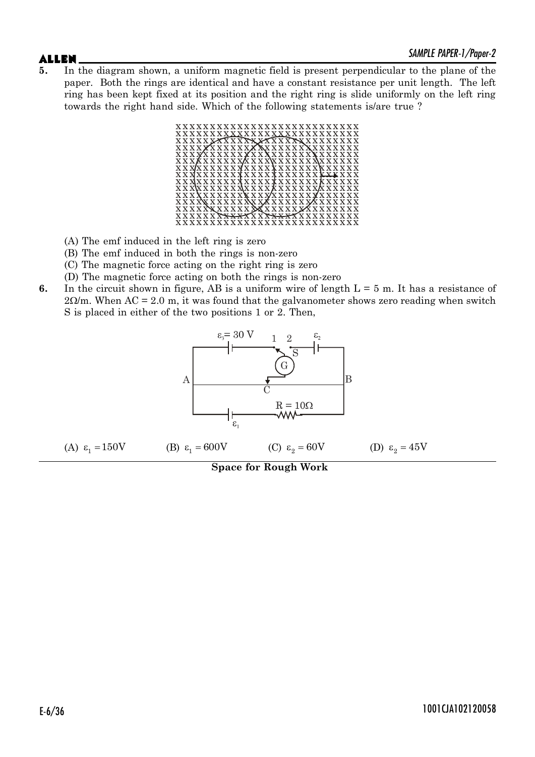**5.** In the diagram shown, a uniform magnetic field is present perpendicular to the plane of the paper. Both the rings are identical and have a constant resistance per unit length. The left ring has been kept fixed at its position and the right ring is slide uniformly on the left ring towards the right hand side. Which of the following statements is/are true ?



- (A) The emf induced in the left ring is zero
- (B) The emf induced in both the rings is non-zero
- (C) The magnetic force acting on the right ring is zero
- (D) The magnetic force acting on both the rings is non-zero
- **6.** In the circuit shown in figure, AB is a uniform wire of length  $L = 5$  m. It has a resistance of  $2\Omega/m$ . When AC = 2.0 m, it was found that the galvanometer shows zero reading when switch S is placed in either of the two positions 1 or 2. Then,

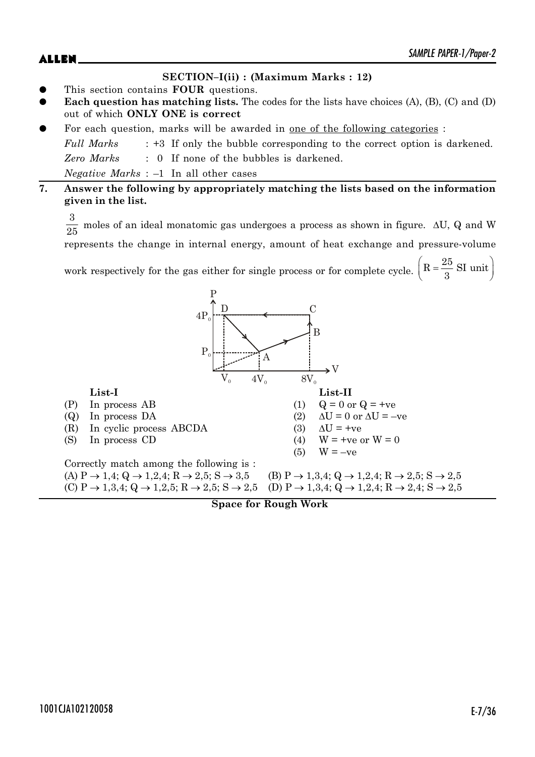# $ALLEN$   $\sum_{M|N|T}$   $\sum_{N}$   $\sum_{N}$   $\sum_{N}$   $\sum_{N}$   $\sum_{N}$   $\sum_{N}$   $\sum_{N}$   $\sum_{N}$   $\sum_{N}$   $\sum_{N}$   $\sum_{N}$   $\sum_{N}$   $\sum_{N}$   $\sum_{N}$   $\sum_{N}$   $\sum_{N}$   $\sum_{N}$   $\sum_{N}$   $\sum_{N}$   $\sum_{N}$   $\sum_{N}$   $\sum_{N}$   $\sum_{N}$   $\sum_{N}$   $\sum_{N}$   $\sum_{$

#### **SECTION–I(ii) : (Maximum Marks : 12)**

- z This section contains **FOUR** questions.
- **Each question has matching lists.** The codes for the lists have choices (A), (B), (C) and (D) out of which **ONLY ONE is correct**
- For each question, marks will be awarded in <u>one of the following categories</u> :

*Full Marks* : +3 If only the bubble corresponding to the correct option is darkened. *Zero Marks* : 0 If none of the bubbles is darkened. *Negative Marks* : –1 In all other cases

#### **7. Answer the following by appropriately matching the lists based on the information given in the list.**

3

 $\frac{0}{25}$  moles of an ideal monatomic gas undergoes a process as shown in figure.  $\Delta U$ , Q and W represents the change in internal energy, amount of heat exchange and pressure-volume

work respectively for the gas either for single process or for complete cycle.  $\left(R = \frac{25}{3}$  SI unit 3



**Space for Rough Work**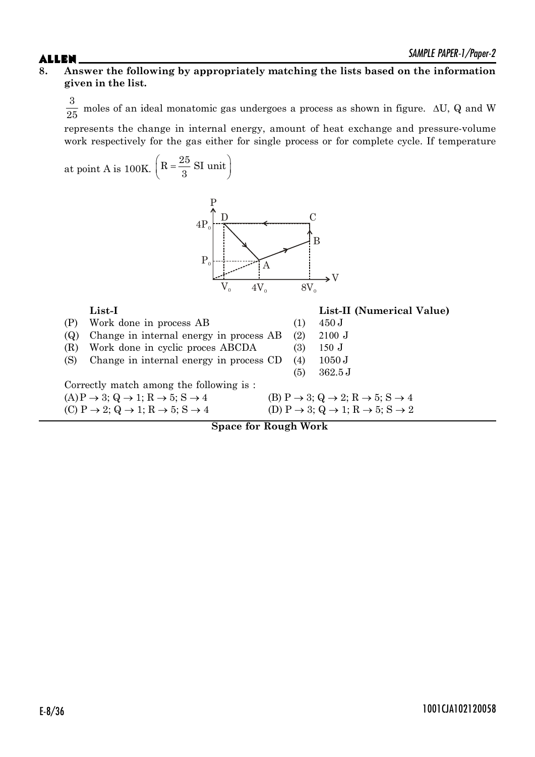#### **8. Answer the following by appropriately matching the lists based on the information given in the list.**

 $\frac{3}{25}$ moles of an ideal monatomic gas undergoes a process as shown in figure.  $\Delta U$ , Q and W represents the change in internal energy, amount of heat exchange and pressure-volume

work respectively for the gas either for single process or for complete cycle. If temperature at point A is 100K.  $\left(R = \frac{25}{3}$  SI unit 3



**List-I List-II (Numerical Value)** (P) Work done in process AB (1) 450 J (Q) Change in internal energy in process  $AB$  (2) 2100 J  $(R)$  Work done in cyclic proces ABCDA (3) 150 J (S) Change in internal energy in process CD (4) 1050 J (5) 362.5 J Correctly match among the following is :  $(A)P \rightarrow 3; Q \rightarrow 1; R \rightarrow 5; S \rightarrow 4$  (B)  $P \rightarrow 3; Q \rightarrow 2; R \rightarrow 5; S \rightarrow 4$ (C)  $P \rightarrow 2$ ;  $Q \rightarrow 1$ ;  $R \rightarrow 5$ ;  $S \rightarrow 4$  (D)  $P \rightarrow 3$ ;  $Q \rightarrow 1$ ;  $R \rightarrow 5$ ;  $S \rightarrow 2$ 

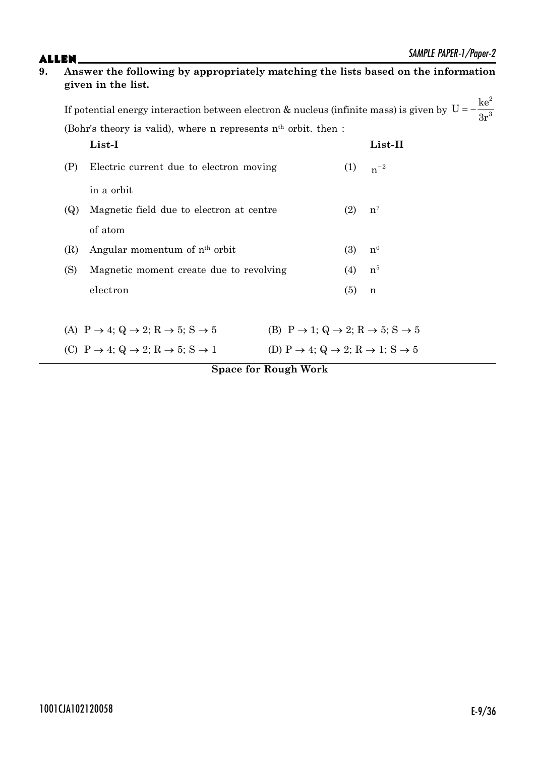| 9.<br>Answer the following by appropriately matching the lists based on the information<br>given in the list. |     |                                                                                                                                                                                                                       |                                                                                   |     |                |  |
|---------------------------------------------------------------------------------------------------------------|-----|-----------------------------------------------------------------------------------------------------------------------------------------------------------------------------------------------------------------------|-----------------------------------------------------------------------------------|-----|----------------|--|
|                                                                                                               |     | If potential energy interaction between electron & nucleus (infinite mass) is given by $U = -\frac{ke^2}{3r^3}$<br>(Bohr's theory is valid) where<br>(Bohr's theory is valid), where n represents $nth$ orbit. then : |                                                                                   |     |                |  |
|                                                                                                               |     | List-I                                                                                                                                                                                                                |                                                                                   |     | List-II        |  |
|                                                                                                               | (P) | Electric current due to electron moving                                                                                                                                                                               |                                                                                   | (1) | $n^{-2}$       |  |
|                                                                                                               |     | in a orbit                                                                                                                                                                                                            |                                                                                   |     |                |  |
|                                                                                                               | (Q) | Magnetic field due to electron at centre                                                                                                                                                                              |                                                                                   | (2) | $n^7$          |  |
|                                                                                                               |     | of atom                                                                                                                                                                                                               |                                                                                   |     |                |  |
|                                                                                                               | (R) | Angular momentum of n <sup>th</sup> orbit                                                                                                                                                                             |                                                                                   | (3) | n <sup>0</sup> |  |
|                                                                                                               | (S) | Magnetic moment create due to revolving                                                                                                                                                                               |                                                                                   | (4) | n <sup>5</sup> |  |
|                                                                                                               |     | electron                                                                                                                                                                                                              |                                                                                   | (5) | n              |  |
|                                                                                                               |     | (A) $P \rightarrow 4$ ; Q $\rightarrow 2$ ; R $\rightarrow 5$ ; S $\rightarrow 5$                                                                                                                                     | (B) $P \rightarrow 1$ ; Q $\rightarrow 2$ ; R $\rightarrow 5$ ; S $\rightarrow 5$ |     |                |  |
|                                                                                                               |     | (C) $P \rightarrow 4$ ; Q $\rightarrow 2$ ; R $\rightarrow 5$ ; S $\rightarrow 1$                                                                                                                                     | (D) P $\rightarrow$ 4; Q $\rightarrow$ 2; R $\rightarrow$ 1; S $\rightarrow$ 5    |     |                |  |
|                                                                                                               |     |                                                                                                                                                                                                                       | <b>Space for Rough Work</b>                                                       |     |                |  |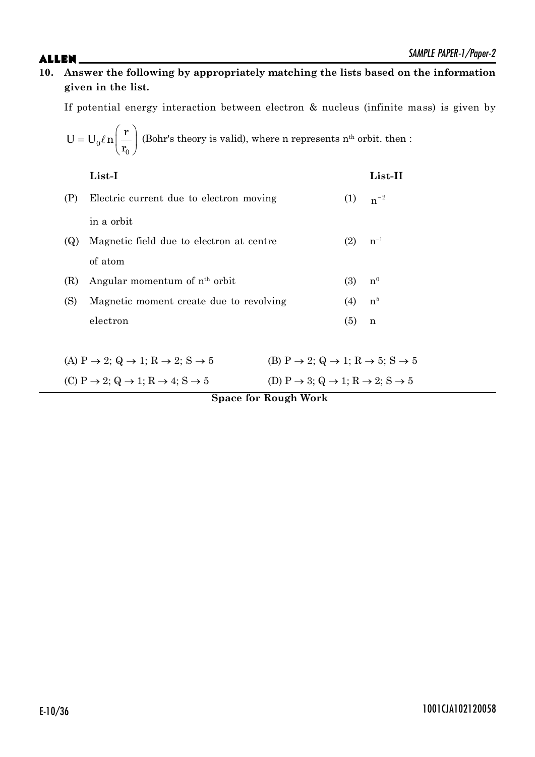**10. Answer the following by appropriately matching the lists based on the information given in the list.**

If potential energy interaction between electron & nucleus (infinite mass) is given by

$$
U = U_0 \ell n \left(\frac{r}{r_0}\right)
$$
 (Bohr's theory is valid), where n represents  $n^{\text{th}}$  orbit. then :

|     | List-I                                    |     | List-II        |
|-----|-------------------------------------------|-----|----------------|
| (P) | Electric current due to electron moving   | (1) | $n^{-2}$       |
|     | in a orbit                                |     |                |
| (Q) | Magnetic field due to electron at centre  | (2) | $n^{-1}$       |
|     | of atom                                   |     |                |
| (R) | Angular momentum of n <sup>th</sup> orbit | (3) | n <sup>0</sup> |
| (S) | Magnetic moment create due to revolving   | (4) | n <sup>5</sup> |
|     | electron                                  | (5) | n              |
|     |                                           |     |                |

| (A) $P \rightarrow 2$ ; Q $\rightarrow 1$ ; R $\rightarrow 2$ ; S $\rightarrow 5$ | (B) P $\rightarrow$ 2; Q $\rightarrow$ 1; R $\rightarrow$ 5; S $\rightarrow$ 5 |
|-----------------------------------------------------------------------------------|--------------------------------------------------------------------------------|
| (C) $P \rightarrow 2$ ; Q $\rightarrow 1$ ; R $\rightarrow 4$ ; S $\rightarrow 5$ | (D) P $\rightarrow$ 3; Q $\rightarrow$ 1; R $\rightarrow$ 2; S $\rightarrow$ 5 |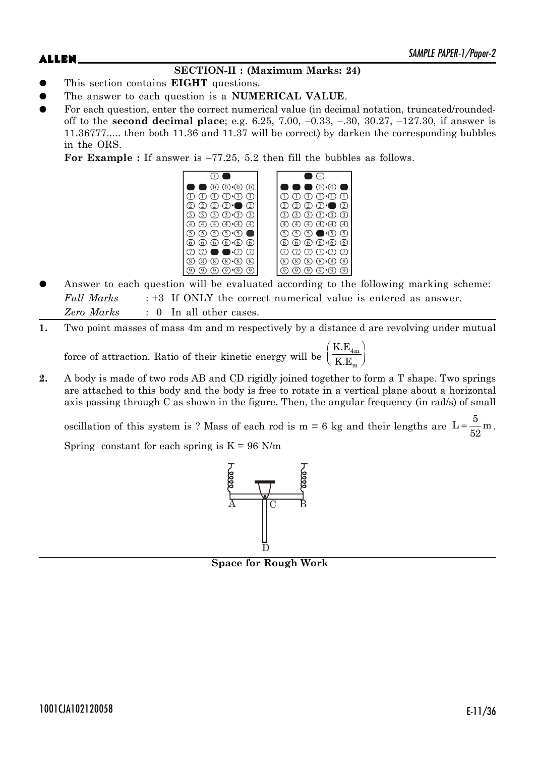### **SECTION-II : (Maximum Marks: 24)**

- z This section contains **EIGHT** questions.
- The answer to each question is a **NUMERICAL VALUE**.
- For each question, enter the correct numerical value (in decimal notation, truncated/roundedoff to the **second decimal place**; e.g. 6.25, 7.00, –0.33, –.30, 30.27, –127.30, if answer is 11.36777..... then both 11.36 and 11.37 will be correct) by darken the corresponding bubbles in the ORS.

**For Example :** If answer is –77.25, 5.2 then fill the bubbles as follows.



- Answer to each question will be evaluated according to the following marking scheme: *Full Marks* : +3 If ONLY the correct numerical value is entered as answer. *Zero Marks* : 0 In all other cases.
- **1.** Two point masses of mass 4m and m respectively by a distance d are revolving under mutual

force of attraction. Ratio of their kinetic energy will be  $\left(\frac{K.E_{4_m}}{K.E_m}\right)$ K.E K.E  $(K.E_{4m})$  $\left(\overline{\text{K.E}_{m}}\right)$ 

**2.** A body is made of two rods AB and CD rigidly joined together to form a T shape. Two springs are attached to this body and the body is free to rotate in a vertical plane about a horizontal axis passing through C as shown in the figure. Then, the angular frequency (in rad/s) of small

oscillation of this system is ? Mass of each rod is m = 6 kg and their lengths are  $L = \frac{5}{5}$  m  $=\frac{6}{52}$  m. Spring constant for each spring is  $K = 96$  N/m



**Space for Rough Work**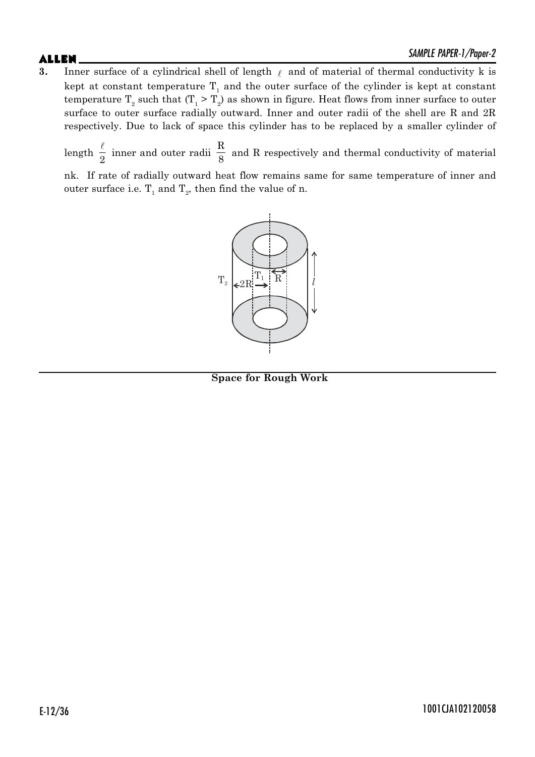**3.** Inner surface of a cylindrical shell of length  $\ell$  and of material of thermal conductivity k is kept at constant temperature  $\mathrm{T}_1$  and the outer surface of the cylinder is kept at constant temperature  $\text{T}_{2}$  such that  $(\text{T}_{1} > \text{T}_{2})$  as shown in figure. Heat flows from inner surface to outer surface to outer surface radially outward. Inner and outer radii of the shell are R and 2R respectively. Due to lack of space this cylinder has to be replaced by a smaller cylinder of

length  $\frac{\ell}{2}$  $\frac{1}{2}$  inner and outer radii R  $\frac{1}{8}$  and R respectively and thermal conductivity of material

nk. If rate of radially outward heat flow remains same for same temperature of inner and outer surface i.e.  $T_1$  and  $T_2$ , then find the value of n.



**Space for Rough Work**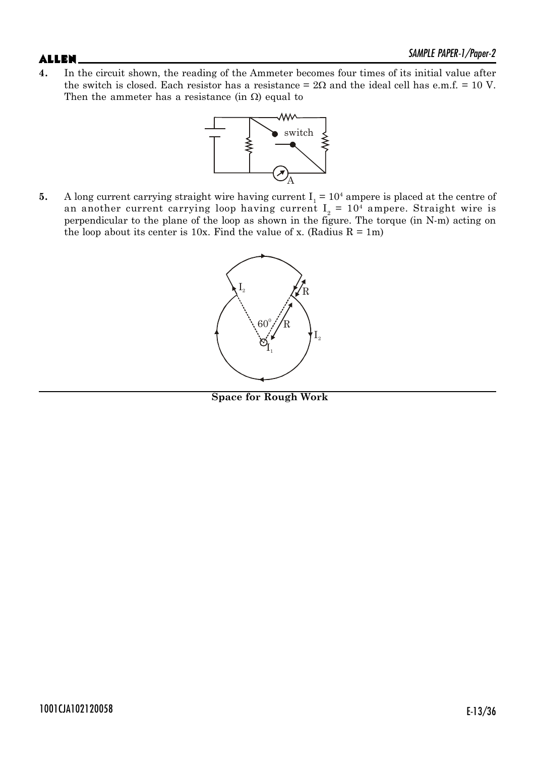**4.** In the circuit shown, the reading of the Ammeter becomes four times of its initial value after the switch is closed. Each resistor has a resistance =  $2\Omega$  and the ideal cell has e.m.f. = 10 V. Then the ammeter has a resistance (in  $\Omega$ ) equal to



**5.** A long current carrying straight wire having current  $I_1 = 10^4$  ampere is placed at the centre of an another current carrying loop having current  $I_2 = 10^4$  ampere. Straight wire is perpendicular to the plane of the loop as shown in the figure. The torque (in N-m) acting on the loop about its center is 10x. Find the value of x. (Radius  $R = 1m$ )



**Space for Rough Work**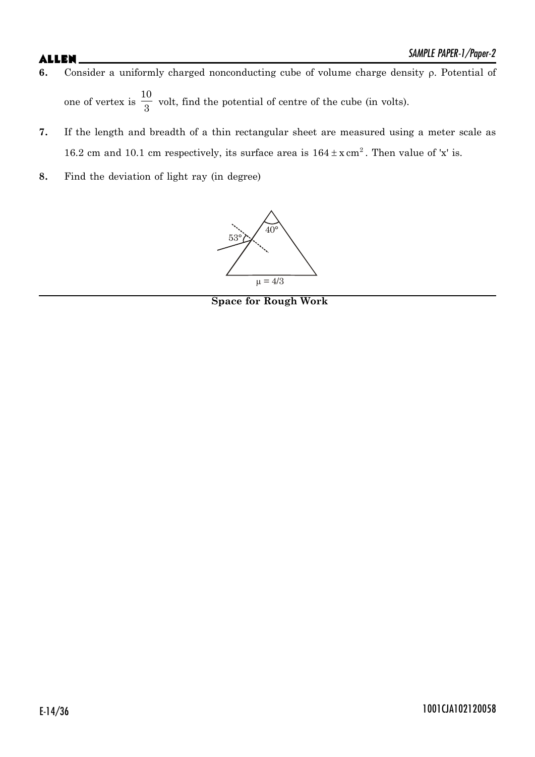- **6.** Consider a uniformly charged nonconducting cube of volume charge density  $\rho$ . Potential of one of vertex is 10  $\frac{1}{3}$  volt, find the potential of centre of the cube (in volts).
- **7.** If the length and breadth of a thin rectangular sheet are measured using a meter scale as 16.2 cm and 10.1 cm respectively, its surface area is  $164 \pm x \text{ cm}^2$ . Then value of 'x' is.
- **8.** Find the deviation of light ray (in degree)



**Space for Rough Work**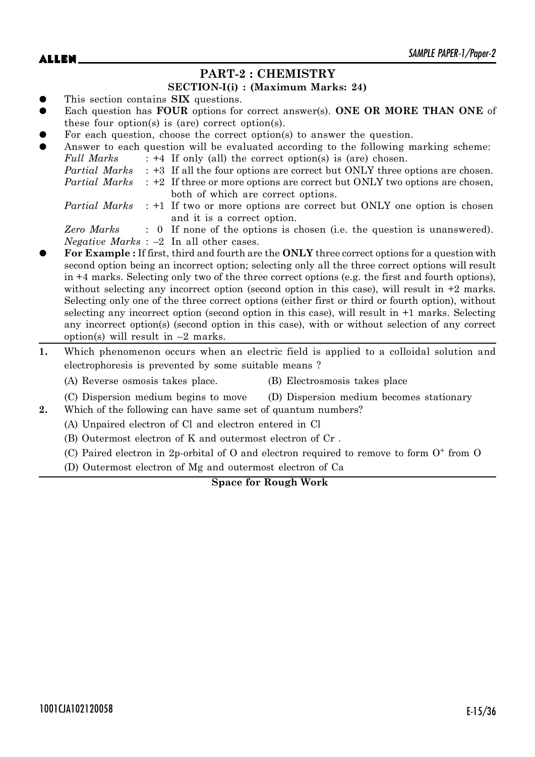### **PART-2 : CHEMISTRY**

#### **SECTION-I(i) : (Maximum Marks: 24)**

- This section contains **SIX** questions.
- Each question has **FOUR** options for correct answer(s). **ONE OR MORE THAN ONE** of these four option(s) is (are) correct option(s).
- For each question, choose the correct option(s) to answer the question.

|           |               | I of cach gaconion, choose the correct option to answer the gaconom.                                         |
|-----------|---------------|--------------------------------------------------------------------------------------------------------------|
| $\bullet$ |               | Answer to each question will be evaluated according to the following marking scheme:                         |
|           | Full Marks    | $: +4$ If only (all) the correct option(s) is (are) chosen.                                                  |
|           |               | <i>Partial Marks</i> : +3 If all the four options are correct but ONLY three options are chosen.             |
|           | Partial Marks | : +2 If three or more options are correct but ONLY two options are chosen,                                   |
|           |               | both of which are correct options.                                                                           |
|           |               | <i>Partial Marks</i> : +1 If two or more options are correct but ONLY one option is chosen                   |
|           |               | and it is a correct option.                                                                                  |
|           | Zero Marks    | : 0 If none of the options is chosen (i.e. the question is unanswered).                                      |
|           |               | <i>Negative Marks</i> : $-2$ In all other cases.                                                             |
| $\bullet$ |               | <b>For Example:</b> If first, third and fourth are the <b>ONLY</b> three correct options for a question with |

- rd and fourth are the **ONLY** three correct o second option being an incorrect option; selecting only all the three correct options will result in +4 marks. Selecting only two of the three correct options (e.g. the first and fourth options), without selecting any incorrect option (second option in this case), will result in  $+2$  marks. Selecting only one of the three correct options (either first or third or fourth option), without selecting any incorrect option (second option in this case), will result in +1 marks. Selecting any incorrect option(s) (second option in this case), with or without selection of any correct option(s) will result in  $-2$  marks.
- **1.** Which phenomenon occurs when an electric field is applied to a colloidal solution and electrophoresis is prevented by some suitable means ?

(A) Reverse osmosis takes place. (B) Electrosmosis takes place

- (C) Dispersion medium begins to move (D) Dispersion medium becomes stationary
- **2.** Which of the following can have same set of quantum numbers?
	- (A) Unpaired electron of Cl and electron entered in Cl
	- (B) Outermost electron of K and outermost electron of Cr .
	- (C) Paired electron in 2p-orbital of O and electron required to remove to form O<sup>+</sup> from O
	- (D) Outermost electron of Mg and outermost electron of Ca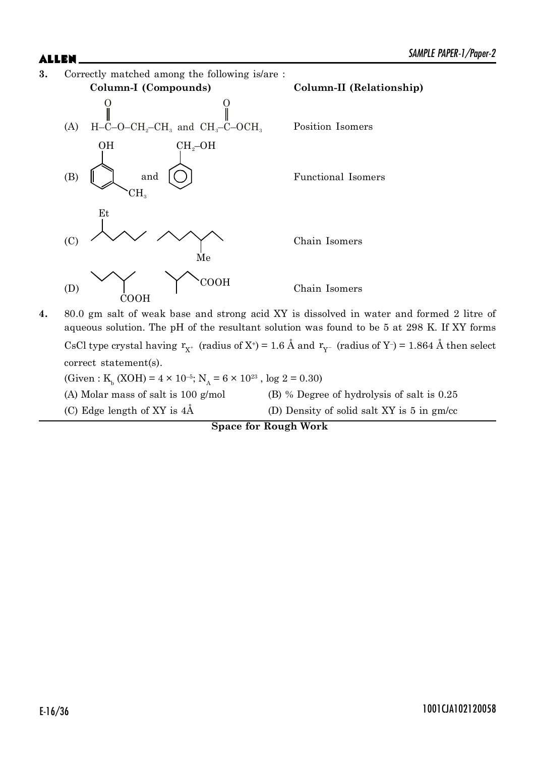



**4.** 80.0 gm salt of weak base and strong acid XY is dissolved in water and formed 2 litre of aqueous solution. The pH of the resultant solution was found to be 5 at 298 K. If XY forms CsCl type crystal having  $r_{X^+}$  (radius of X<sup>+</sup>) = 1.6 Å and  $r_{Y^-}$  (radius of Y<sup>-</sup>) = 1.864 Å then select correct statement(s). (Given : K<sub>b</sub> (XOH) =  $4 \times 10^{-5}$ ; N<sub>A</sub> =  $6 \times 10^{23}$ , log 2 = 0.30) (A) Molar mass of salt is 100 g/mol (B) % Degree of hydrolysis of salt is 0.25

(C) Edge length of XY is  $4\text{\AA}$  (D) Density of solid salt XY is 5 in gm/cc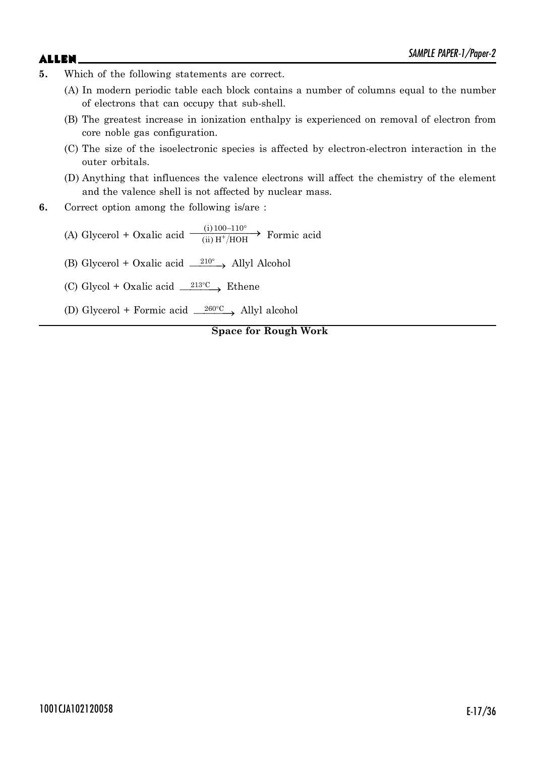- 
- **5.** Which of the following statements are correct.
	- (A) In modern periodic table each block contains a number of columns equal to the number of electrons that can occupy that sub-shell.
	- (B) The greatest increase in ionization enthalpy is experienced on removal of electron from core noble gas configuration.
	- (C) The size of the isoelectronic species is affected by electron-electron interaction in the outer orbitals.
	- (D) Anything that influences the valence electrons will affect the chemistry of the element and the valence shell is not affected by nuclear mass.
- **6.** Correct option among the following is/are :
	- (A) Glycerol + Oxalic acid  $\xrightarrow{\text{(i) 100-110}^{\circ}}$  Formic acid
	- (B) Glycerol + Oxalic acid  $\rightharpoonup^{210^{\circ}}$  Allyl Alcohol
	- (C) Glycol + Oxalic acid  $\frac{213^{\circ}\text{C}}{213^{\circ}\text{C}}$  Ethene
	- (D) Glycerol + Formic acid  $\frac{260^{\circ}\text{C}}{260^{\circ}\text{C}}$  Allyl alcohol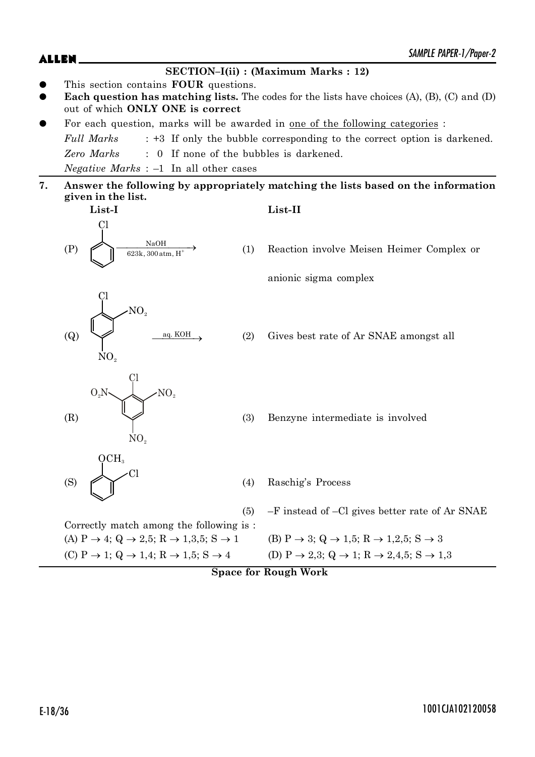(Q)

(S)

Cl

 $NO<sub>e</sub>$ 

 $OCH<sub>3</sub>$ 

#### **SECTION–I(ii) : (Maximum Marks : 12)**

- This section contains **FOUR** questions.
- Each question has matching lists. The codes for the lists have choices (A), (B), (C) and (D) out of which **ONLY ONE is correct**
- For each question, marks will be awarded in <u>one of the following categories</u> :

*Full Marks* : +3 If only the bubble corresponding to the correct option is darkened. *Zero Marks* : 0 If none of the bubbles is darkened. *Negative Marks* : –1 In all other cases

**7. Answer the following by appropriately matching the lists based on the information given in the list.**

**List-I List-II** (P)  $C<sub>1</sub>$ NaOH 623k, 300atm, H

o (1) Reaction involve Meisen Heimer Complex or

anionic sigma complex

 $\overline{q}$  aq. KOH (2) Gives best rate of Ar SNAE amongst all

(R) Cl  $NO<sub>2</sub>$ NO.

Cl

Correctly match among the following is :

 $NO<sub>2</sub>$ 

(3) Benzyne intermediate is involved

(4) Raschig's Process

(5) –F instead of –Cl gives better rate of Ar SNAE

(A)  $P \to 4$ ;  $Q \to 2.5$ ;  $R \to 1.3.5$ ;  $S \to 1$  (B)  $P \to 3$ ;  $Q \to 1.5$ ;  $R \to 1.2.5$ ;  $S \to 3$ (C)  $P \to 1$ ;  $Q \to 1,4$ ;  $R \to 1,5$ ;  $S \to 4$  (D)  $P \to 2,3$ ;  $Q \to 1$ ;  $R \to 2,4,5$ ;  $S \to 1,3$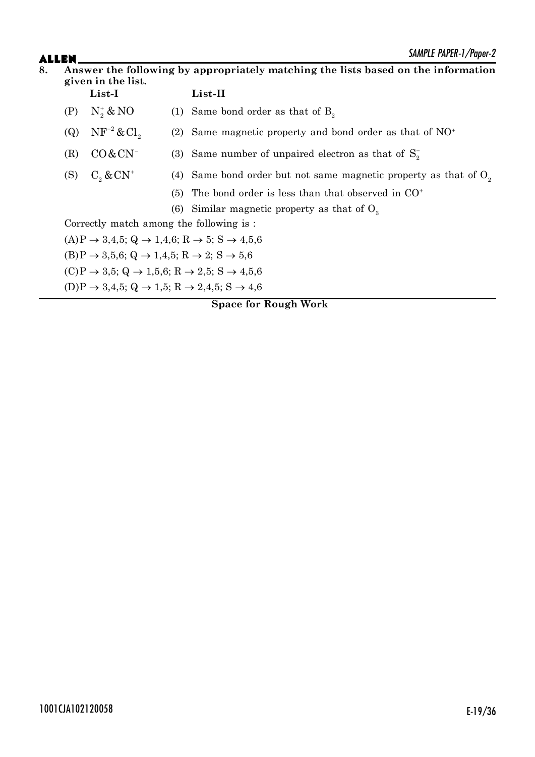### SAMPLE PAPER-1/Paper-2

# **ALLEN**<br>8. Answer

| 8.<br>Answer the following by appropriately matching the lists based on the information<br>given in the list. |                                                                                            |                                                                                              |                                                                    |                                                             |  |  |
|---------------------------------------------------------------------------------------------------------------|--------------------------------------------------------------------------------------------|----------------------------------------------------------------------------------------------|--------------------------------------------------------------------|-------------------------------------------------------------|--|--|
|                                                                                                               |                                                                                            | List-I                                                                                       |                                                                    | $List-II$                                                   |  |  |
|                                                                                                               | (P)                                                                                        | $N_2^* \& NO$                                                                                |                                                                    | (1) Same bond order as that of $B_{\circ}$                  |  |  |
|                                                                                                               | (Q)                                                                                        | $NF^{-2}$ & Cl <sub>2</sub>                                                                  | (2)                                                                | Same magnetic property and bond order as that of $NO+$      |  |  |
|                                                                                                               | (R)                                                                                        | $CO & CN^-$                                                                                  |                                                                    | (3) Same number of unpaired electron as that of $S_{\circ}$ |  |  |
| $C_{\circ}$ & $CN^+$<br>(S)                                                                                   |                                                                                            |                                                                                              | (4) Same bond order but not same magnetic property as that of $Oo$ |                                                             |  |  |
|                                                                                                               |                                                                                            |                                                                                              | (5)                                                                | The bond order is less than that observed in $CO+$          |  |  |
|                                                                                                               |                                                                                            |                                                                                              |                                                                    | (6) Similar magnetic property as that of $O_3$              |  |  |
|                                                                                                               | Correctly match among the following is:                                                    |                                                                                              |                                                                    |                                                             |  |  |
|                                                                                                               |                                                                                            | $(A)P \rightarrow 3,4,5$ ; Q $\rightarrow 1,4,6$ ; R $\rightarrow 5$ ; S $\rightarrow 4,5,6$ |                                                                    |                                                             |  |  |
|                                                                                                               | $(B)P \rightarrow 3.5.6$ ; Q $\rightarrow 1.4.5$ ; R $\rightarrow 2$ ; S $\rightarrow 5.6$ |                                                                                              |                                                                    |                                                             |  |  |
|                                                                                                               |                                                                                            | $(C)P \rightarrow 3.5$ ; Q $\rightarrow 1.5.6$ ; R $\rightarrow 2.5$ ; S $\rightarrow 4.5.6$ |                                                                    |                                                             |  |  |
|                                                                                                               |                                                                                            | $(D)P \rightarrow 3,4,5$ ; Q $\rightarrow 1,5$ ; R $\rightarrow 2,4,5$ ; S $\rightarrow 4,6$ |                                                                    |                                                             |  |  |
|                                                                                                               |                                                                                            |                                                                                              |                                                                    | <b>Space for Rough Work</b>                                 |  |  |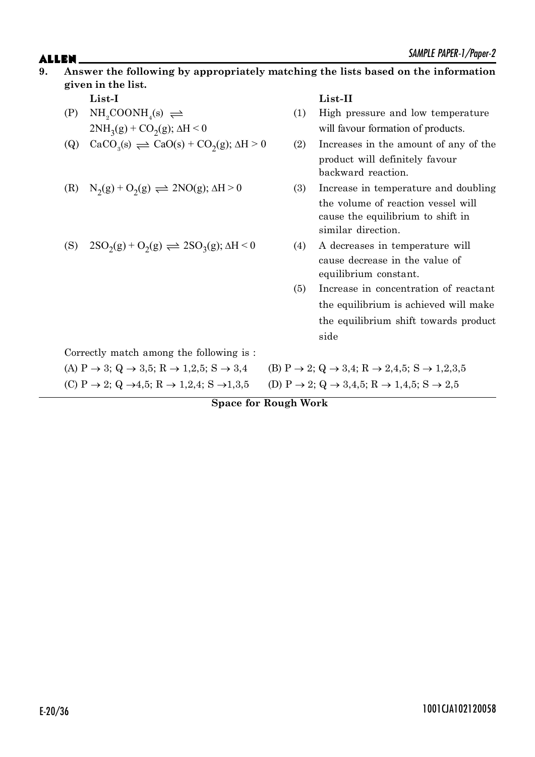### $ALLEN$   $\sum_{M|N|U}$   $PAPEN-1/Yapp1-2$ **9. Answer the following by appropriately matching the lists based on the information given in the list. List-I List-II**

- $(P)$  NH<sub>2</sub>COONH<sub>4</sub>(s)  $\rightleftharpoons$  $2NH_3(g) + CO_2$
- (Q)  $\text{CaCO}_3(\text{s}) \rightleftharpoons \text{CaO}(\text{s}) + \text{CO}_2$

(R) 
$$
N_2(g) + O_2(g) \rightleftharpoons 2NO(g); \Delta H > 0
$$

$$
(S) 2SO2(g) + O2(g) \rightleftharpoons 2SO3(g); \Delta H < 0
$$

- $(1)$  High pressure and low temperature will favour formation of products.
- $(2)$  Increases in the amount of any of the product will definitely favour backward reaction.
- $(3)$  Increase in temperature and doubling the volume of reaction vessel will cause the equilibrium to shift in similar direction.
- (4) A decreases in temperature will cause decrease in the value of equilibrium constant.
- (5) Increase in concentration of reactant the equilibrium is achieved will make the equilibrium shift towards product side

Correctly match among the following is :

(A)  $P \to 3$ ;  $Q \to 3,5$ ;  $R \to 1,2,5$ ;  $S \to 3,4$  (B)  $P \to 2$ ;  $Q \to 3,4$ ;  $R \to 2,4,5$ ;  $S \to 1,2,3,5$ (C)  $P \rightarrow 2$ ;  $Q \rightarrow 4,5$ ;  $R \rightarrow 1,2,4$ ; S  $\rightarrow 1,3,5$  (D)  $P \rightarrow 2$ ;  $Q \rightarrow 3,4,5$ ;  $R \rightarrow 1,4,5$ ; S  $\rightarrow 2,5$ 

**Space for Rough Work**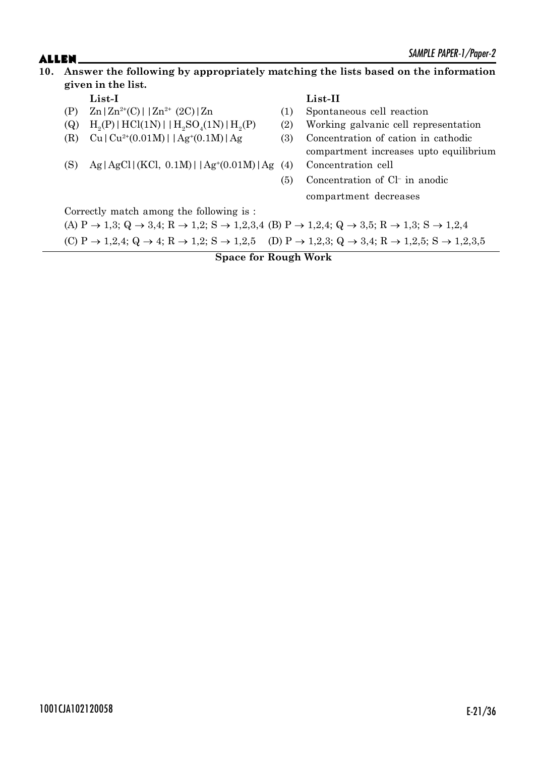### $ALLEN$   $\sum_{M|N|T}$   $\sum_{N}$   $\sum_{N}$   $\sum_{N}$   $\sum_{N}$   $\sum_{N}$   $\sum_{N}$   $\sum_{N}$   $\sum_{N}$   $\sum_{N}$   $\sum_{N}$   $\sum_{N}$   $\sum_{N}$   $\sum_{N}$   $\sum_{N}$   $\sum_{N}$   $\sum_{N}$   $\sum_{N}$   $\sum_{N}$   $\sum_{N}$   $\sum_{N}$   $\sum_{N}$   $\sum_{N}$   $\sum_{N}$   $\sum_{N}$   $\sum_{N}$   $\sum_{$ **10. Answer the following by appropriately matching the lists based on the information given in the list.**

- (P)  $Zn | Zn^{2+}(C) | | Zn^{2+} (2C) | Zn$  (1) Spontaneous cell reaction
- $(Q)$ (P) | HCl(1N) | | $H_2SO_4(1N)$  |  $H_2$
- (R)  $Cu|Cu^{2+}(0.01M)||Ag^{+}(0.1M)|Ag$
- (S) Ag|AgCl|(KCl, 0.1M)| $|Ag^*(0.01M)|Ag$  (4)

### **List-I List-II**

- 
- (P) (2) Working galvanic cell representation
- $(3)$  Concentration of cation in cathodic compartment increases upto equilibrium Concentration cell
- (5) Concentration of Cl– in anodic compartment decreases

Correctly match among the following is :

(A)  $P \rightarrow 1,3$ ;  $Q \rightarrow 3,4$ ;  $R \rightarrow 1,2$ ;  $S \rightarrow 1,2,3,4$  (B)  $P \rightarrow 1,2,4$ ;  $Q \rightarrow 3,5$ ;  $R \rightarrow 1,3$ ;  $S \rightarrow 1,2,4$ (C)  $P \rightarrow 1,2,4$ ;  $Q \rightarrow 4$ ;  $R \rightarrow 1,2$ ;  $S \rightarrow 1,2,5$  (D)  $P \rightarrow 1,2,3$ ;  $Q \rightarrow 3,4$ ;  $R \rightarrow 1,2,5$ ;  $S \rightarrow 1,2,3,5$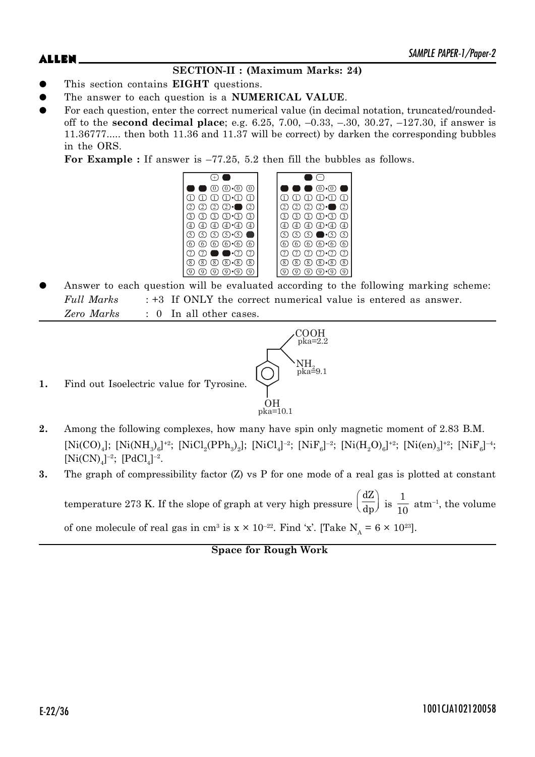### **SECTION-II : (Maximum Marks: 24)**

- z This section contains **EIGHT** questions.
- The answer to each question is a **NUMERICAL VALUE**.
- For each question, enter the correct numerical value (in decimal notation, truncated/roundedoff to the **second decimal place**; e.g. 6.25, 7.00, –0.33, –.30, 30.27, –127.30, if answer is 11.36777..... then both 11.36 and 11.37 will be correct) by darken the corresponding bubbles in the ORS.

For Example : If answer is  $-77.25$ , 5.2 then fill the bubbles as follows.



Answer to each question will be evaluated according to the following marking scheme: *Full Marks* : +3 If ONLY the correct numerical value is entered as answer. *Zero Marks* : 0 In all other cases.



- **1.** Find out Isoelectric value for Tyrosine.
- **2.** Among the following complexes, how many have spin only magnetic moment of 2.83 B.M.  $[Ni(CO)<sub>4</sub>]; [Ni(NH<sub>3</sub>)<sub>6</sub>]<sup>+2</sup>; [NiCl<sub>2</sub>(PPh<sub>3</sub>)<sub>2</sub>]; [NiCl<sub>4</sub>]<sup>-2</sup>; [NiF<sub>6</sub>]<sup>-2</sup>; [Ni(H<sub>2</sub>O)<sub>6</sub>]<sup>+2</sup>; [Ni(en)<sub>3</sub>]<sup>+2</sup>; [NiF<sub>6</sub>]<sup>-4</sup>;$  $[Ni(CN)<sub>4</sub>]^{-2}$ ;  $[PdCl<sub>4</sub>]^{-2}$ .
- **3.** The graph of compressibility factor (Z) vs P for one mode of a real gas is plotted at constant temperature 273 K. If the slope of graph at very high pressure dZ  $\left(\frac{dZ}{dp}\right)$  is  $\frac{1}{10}$  $\frac{1}{10}$  atm<sup>-1</sup>, the volume

of one molecule of real gas in cm<sup>3</sup> is  $x \times 10^{-22}$ . Find 'x'. [Take  $N_A = 6 \times 10^{23}$ ].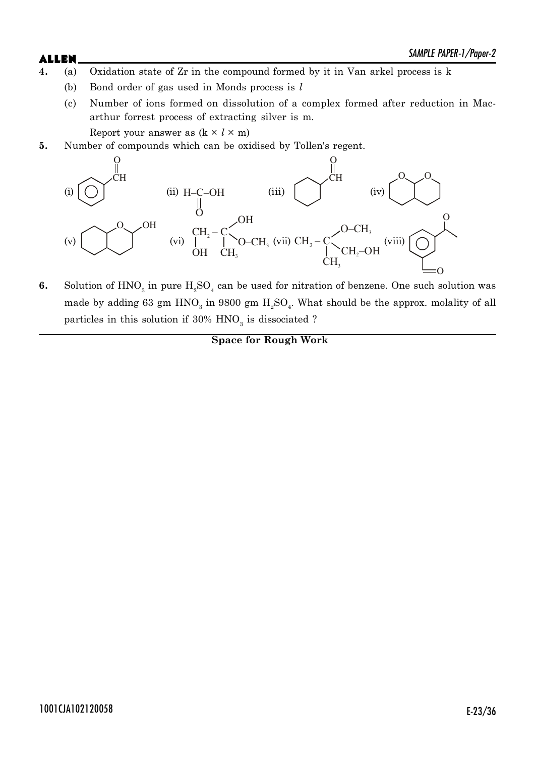# $ALLEN$   $\sum_{M|N|T}$   $\sum_{N}$   $\sum_{N}$   $\sum_{N}$   $\sum_{N}$   $\sum_{N}$   $\sum_{N}$   $\sum_{N}$   $\sum_{N}$   $\sum_{N}$   $\sum_{N}$   $\sum_{N}$   $\sum_{N}$   $\sum_{N}$   $\sum_{N}$   $\sum_{N}$   $\sum_{N}$   $\sum_{N}$   $\sum_{N}$   $\sum_{N}$   $\sum_{N}$   $\sum_{N}$   $\sum_{N}$   $\sum_{N}$   $\sum_{N}$   $\sum_{N}$   $\sum_{$

- 
- **4.** (a) Oxidation state of Zr in the compound formed by it in Van arkel process is k
	- (b) Bond order of gas used in Monds process is *l*
	- (c) Number of ions formed on dissolution of a complex formed after reduction in Macarthur forrest process of extracting silver is m.

Report your answer as  $(k \times l \times m)$ 

**5.** Number of compounds which can be oxidised by Tollen's regent.



**6.** Solution of  $HNO<sub>3</sub>$  in pure  $H<sub>2</sub>SO<sub>4</sub>$  can be used for nitration of benzene. One such solution was made by adding 63 gm  $HNO<sub>3</sub>$  in 9800 gm  $H<sub>2</sub>SO<sub>4</sub>$ . What should be the approx. molality of all particles in this solution if  $30\%$  HNO<sub>3</sub> is dissociated ?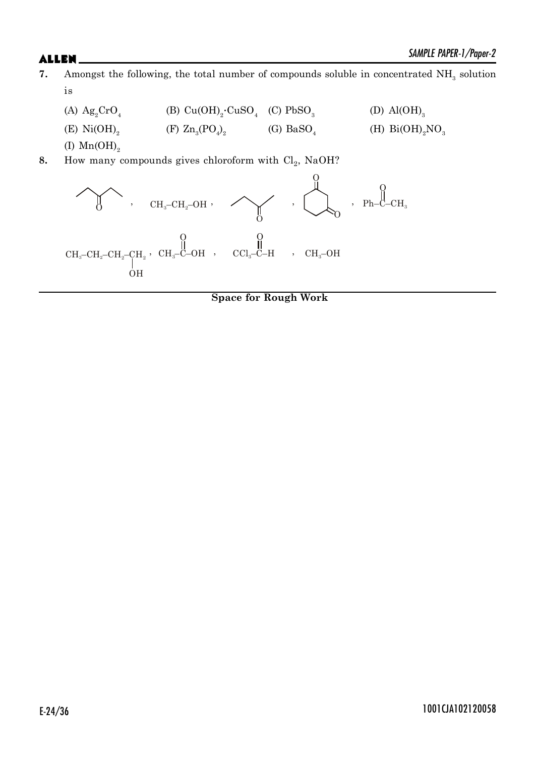- **7.** Amongst the following, the total number of compounds soluble in concentrated NH<sub>3</sub> solution is
	- (A)  $\text{Ag}_2\text{CrO}_4$  (B)  $\text{Cu(OH)}_2 \cdot \text{CuSO}_4$  (C)  $\text{PbSO}_3$ (D)  $\text{Al}(\text{OH})_{3}$ (E)  $Ni(OH)_{2}$ (F)  $\text{Zn}_3(\text{PO}_4)_2$  (G)  $\text{BaSO}_4$ (H)  $Bi(OH)_{2}NO_{3}$
	- (I)  $Mn(OH)_{2}$
- 8. How many compounds gives chloroform with Cl<sub>2</sub>, NaOH?

, , , O O , Ph–C–CH<sup>3</sup> O CH –C–OH <sup>3</sup> O , CCl –C–H <sup>3</sup> O , CH –CH –OH 3 2 CH –OH <sup>3</sup> O 2 CH – CH – <sup>3</sup> CH – CH <sup>2</sup> <sup>2</sup> <sup>2</sup> OH ,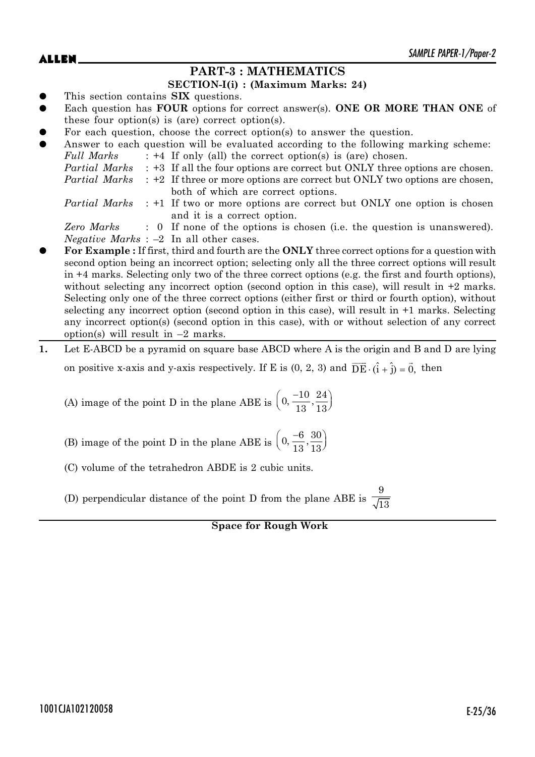### **PART-3 : MATHEMATICS**

#### **SECTION-I(i) : (Maximum Marks: 24)**

- This section contains **SIX** questions.
- Each question has **FOUR** options for correct answer(s). **ONE OR MORE THAN ONE** of these four option(s) is (are) correct option(s).
- For each question, choose the correct option(s) to answer the question.

| $\bullet$ |               | Answer to each question will be evaluated according to the following marking scheme:             |
|-----------|---------------|--------------------------------------------------------------------------------------------------|
|           | Full Marks    | $: +4$ If only (all) the correct option(s) is (are) chosen.                                      |
|           |               | <i>Partial Marks</i> : +3 If all the four options are correct but ONLY three options are chosen. |
|           | Partial Marks | : +2 If three or more options are correct but ONLY two options are chosen,                       |
|           |               | both of which are correct options.                                                               |
|           |               | <i>Partial Marks</i> : +1 If two or more options are correct but ONLY one option is chosen       |
|           |               | and it is a correct option.                                                                      |
|           | Zero Marks    | : 0 If none of the options is chosen (i.e. the question is unanswered).                          |
|           |               | <i>Negative Marks</i> : $-2$ In all other cases.                                                 |

- z **For Example :** If first, third and fourth are the **ONLY** three correct options for a question with second option being an incorrect option; selecting only all the three correct options will result in +4 marks. Selecting only two of the three correct options (e.g. the first and fourth options), without selecting any incorrect option (second option in this case), will result in  $+2$  marks. Selecting only one of the three correct options (either first or third or fourth option), without selecting any incorrect option (second option in this case), will result in +1 marks. Selecting any incorrect option(s) (second option in this case), with or without selection of any correct option(s) will result in  $-2$  marks.
- **1.** Let E-ABCD be a pyramid on square base ABCD where A is the origin and B and D are lying on positive x-axis and y-axis respectively. If E is  $(0, 2, 3)$  and  $\overrightarrow{DE} \cdot (\hat{i} + \hat{j}) = \vec{0}$ , then

(A) image of the point D in the plane ABE is  $\left(0, \frac{-10}{13}, \frac{24}{13}\right)$ 13 13

(B) image of the point D in the plane ABE is  $\left(0, \frac{-6}{13}, \frac{30}{13}\right)$ 13 13

(C) volume of the tetrahedron ABDE is 2 cubic units.

(D) perpendicular distance of the point D from the plane ABE is 9  $^{\prime}$ 13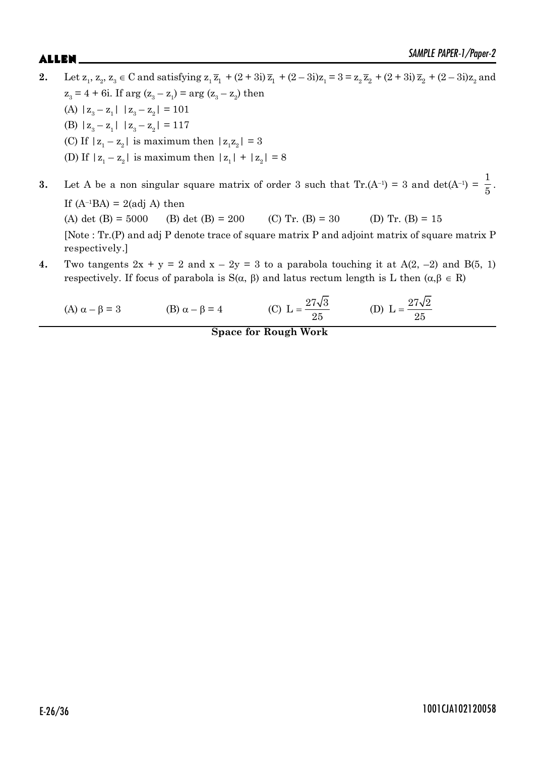- **2.** Let  $z_1, z_2, z_3 \in C$  and satisfying  $z_1 \overline{z_1} + (2 + 3i) \overline{z_1} + (2 3i)z_1 = 3 = z_2 \overline{z_2} + (2 + 3i) \overline{z_2} + (2 3i)z_2$  and  $z_3 = 4 + 6i$ . If  $\arg (z_3 - z_1) = \arg (z_3 - z_2)$  then (A)  $|z_3 - z_1|$   $|z_3 - z_2| = 101$ (B)  $|z_3 - z_1|$   $|z_3 - z_2| = 117$ (C) If  $|z_1 - z_2|$  is maximum then  $|z_1 z_2| = 3$ (D) If  $|z_1 - z_2|$  is maximum then  $|z_1| + |z_2| = 8$ 1
- **3.** Let A be a non singular square matrix of order 3 such that  $Tr(A^{-1}) = 3$  and  $det(A^{-1}) =$  $\frac{1}{5}$ . If  $(A^{-1}BA) = 2$ (adj A) then (A) det (B) = 5000 (B) det (B) = 200 (C) Tr. (B) = 30 (D) Tr. (B) = 15 [Note : Tr.(P) and adj P denote trace of square matrix P and adjoint matrix of square matrix P respectively.]
- **4.** Two tangents  $2x + y = 2$  and  $x 2y = 3$  to a parabola touching it at  $A(2, -2)$  and  $B(5, 1)$ respectively. If focus of parabola is  $S(\alpha, \beta)$  and latus rectum length is L then  $(\alpha, \beta \in R)$

(A) 
$$
\alpha - \beta = 3
$$
 (B)  $\alpha - \beta = 4$  (C)  $L = \frac{27\sqrt{3}}{25}$  (D)  $L = \frac{27\sqrt{2}}{25}$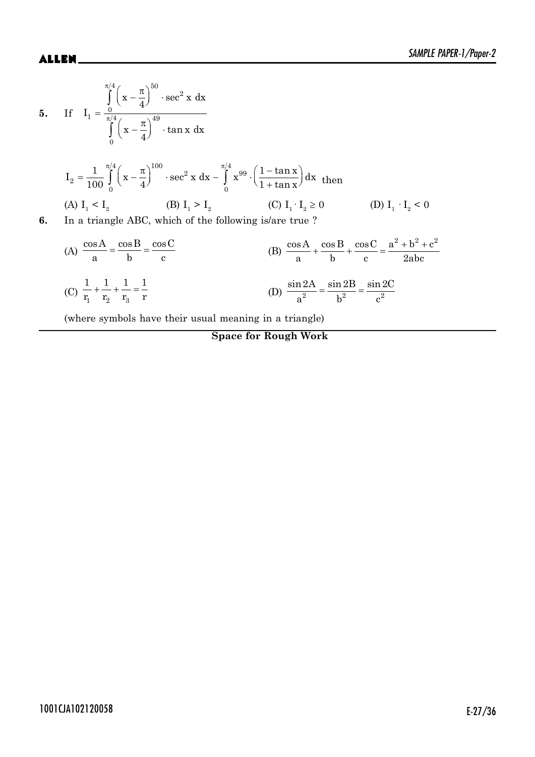5. If 
$$
I_1 = \frac{\pi}{4} \left( x - \frac{\pi}{4} \right)^{50} \cdot \sec^2 x \, dx
$$
  
\n5. If  $I_1 = \frac{0}{\pi/4} \left( x - \frac{\pi}{4} \right)^{49} \cdot \tan x \, dx$   
\n $I_2 = \frac{1}{100} \int_0^{\pi/4} \left( x - \frac{\pi}{4} \right)^{100} \cdot \sec^2 x \, dx - \int_0^{\pi/4} x^{99} \cdot \left( \frac{1 - \tan x}{1 + \tan x} \right) dx$  then  
\n(A)  $I_1 < I_2$  (B)  $I_1 > I_2$  (C)  $I_1 \cdot I_2 \ge 0$  (D)  $I_1 \cdot I_2 < 0$   
\n6. In a triangle ABC, which of the following is/are true ?  
\n(A)  $\frac{\cos A}{a} = \frac{\cos B}{b} = \frac{\cos C}{c}$  (B)  $\frac{\cos A}{a} + \frac{\cos B}{b} + \frac{\cos C}{c} = \frac{a^2 + b^2 + c^2}{2abc}$ 

(C) 
$$
\frac{1}{r_1} + \frac{1}{r_2} + \frac{1}{r_3} = \frac{1}{r}
$$
 (D)  $\frac{\sin 2A}{a^2} = \frac{\sin 2B}{b^2} = \frac{\sin 2C}{c^2}$ 

(where symbols have their usual meaning in a triangle)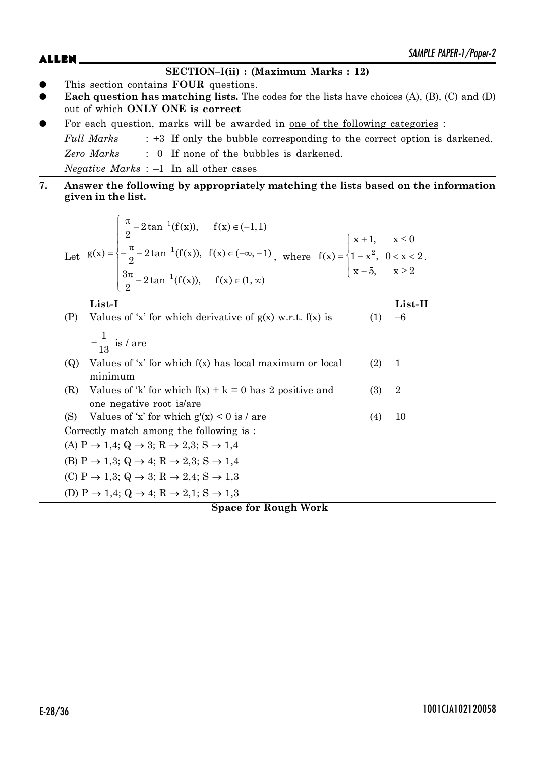# $ALLEN$   $\sum_{M|N|U}$   $PAPEN-1/Yapp1-2$

#### **SECTION–I(ii) : (Maximum Marks : 12)**

- z This section contains **FOUR** questions.
- Each question has matching lists. The codes for the lists have choices (A), (B), (C) and (D) out of which **ONLY ONE is correct**
- For each question, marks will be awarded in <u>one of the following categories</u> :

*Full Marks* : +3 If only the bubble corresponding to the correct option is darkened. *Zero Marks* : 0 If none of the bubbles is darkened. *Negative Marks* : –1 In all other cases

**7. Answer the following by appropriately matching the lists based on the information given in the list.**

Let 
$$
g(x) = \begin{cases} \frac{\pi}{2} - 2 \tan^{-1}(f(x)), & f(x) \in (-1, 1) \\ -\frac{\pi}{2} - 2 \tan^{-1}(f(x)), & f(x) \in (-\infty, -1) \\ \frac{3\pi}{2} - 2 \tan^{-1}(f(x)), & f(x) \in (1, \infty) \end{cases}
$$
 where  $f(x) = \begin{cases} x + 1, & x \le 0 \\ 1 - x^2, & 0 < x < 2 \\ x - 5, & x \ge 2 \end{cases}$ .

**List-I List-II**

(P) Values of 'x' for which derivative of  $g(x)$  w.r.t.  $f(x)$  is (1) –6 1  $-\frac{1}{13}$  is / are (Q) Values of 'x' for which f(x) has local maximum or local (2) 1 minimum (R) Values of 'k' for which  $f(x) + k = 0$  has 2 positive and (3) 2 one negative root is/are (S) Values of 'x' for which  $g'(x) < 0$  is / are (4) 10 Correctly match among the following is : (A)  $P \rightarrow 1,4$ ; Q  $\rightarrow 3$ ; R  $\rightarrow 2,3$ ; S  $\rightarrow 1,4$ (B)  $P \rightarrow 1,3$ ; Q  $\rightarrow 4$ ; R  $\rightarrow 2,3$ ; S  $\rightarrow 1,4$ (C)  $P \rightarrow 1,3$ ; Q  $\rightarrow 3$ ; R  $\rightarrow 2,4$ ; S  $\rightarrow 1,3$ (D)  $P \rightarrow 1,4$ ; Q  $\rightarrow 4$ ; R  $\rightarrow 2,1$ ; S  $\rightarrow 1,3$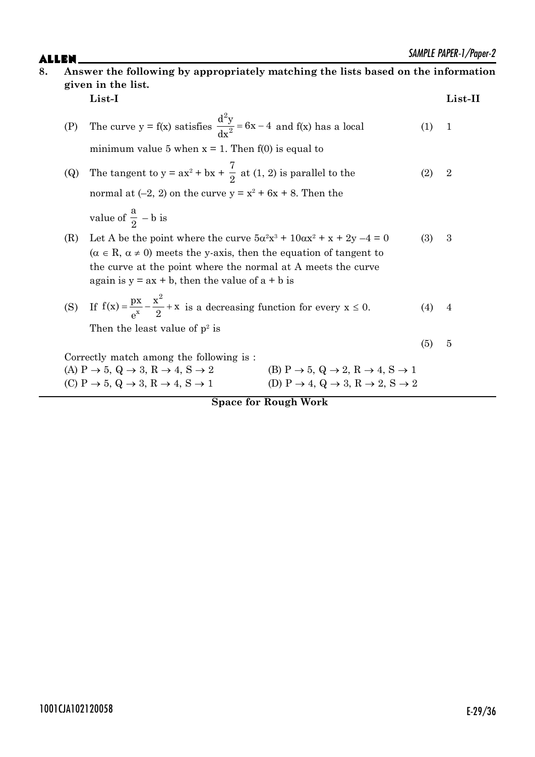|     |                                                                                                                                                                        |     | <i>SAINITLE PAPER-1/PODEF-2</i> |
|-----|------------------------------------------------------------------------------------------------------------------------------------------------------------------------|-----|---------------------------------|
|     | Answer the following by appropriately matching the lists based on the information                                                                                      |     |                                 |
|     | given in the list.                                                                                                                                                     |     |                                 |
|     | List-I                                                                                                                                                                 |     | List-II                         |
| (P) | The curve $y = f(x)$ satisfies $\frac{d^2y}{dx^2} = 6x - 4$ and $f(x)$ has a local                                                                                     | (1) | $\mathbf{1}$                    |
|     | minimum value 5 when $x = 1$ . Then $f(0)$ is equal to                                                                                                                 |     |                                 |
| (Q) | The tangent to $y = ax^2 + bx + \frac{7}{2}$ at (1, 2) is parallel to the                                                                                              | (2) | $\sqrt{2}$                      |
|     | normal at $(-2, 2)$ on the curve $y = x^2 + 6x + 8$ . Then the                                                                                                         |     |                                 |
|     | value of $\frac{a}{2}$ – b is                                                                                                                                          |     |                                 |
| (R) | Let A be the point where the curve $5\alpha^2x^3 + 10\alpha x^2 + x + 2y - 4 = 0$                                                                                      | (3) | 3                               |
|     | $(\alpha \in R, \alpha \neq 0)$ meets the y-axis, then the equation of tangent to                                                                                      |     |                                 |
|     | the curve at the point where the normal at A meets the curve                                                                                                           |     |                                 |
|     | again is $y = ax + b$ , then the value of $a + b$ is                                                                                                                   |     |                                 |
| (S) | If $f(x) = \frac{px}{x^x} - \frac{x^2}{2} + x$ is a decreasing function for every $x \le 0$ .                                                                          | (4) | 4                               |
|     | Then the least value of $p^2$ is                                                                                                                                       |     |                                 |
|     |                                                                                                                                                                        | (5) | 5                               |
|     | Correctly match among the following is:                                                                                                                                |     |                                 |
|     | (B) $P \rightarrow 5$ , $Q \rightarrow 2$ , $R \rightarrow 4$ , $S \rightarrow 1$<br>(A) $P \rightarrow 5$ , $Q \rightarrow 3$ , $R \rightarrow 4$ , $S \rightarrow 2$ |     |                                 |
|     | (D) P $\rightarrow$ 4, Q $\rightarrow$ 3, R $\rightarrow$ 2, S $\rightarrow$ 2<br>(C) $P \rightarrow 5$ , $Q \rightarrow 3$ , $R \rightarrow 4$ , $S \rightarrow 1$    |     |                                 |

**Space for Rough Work**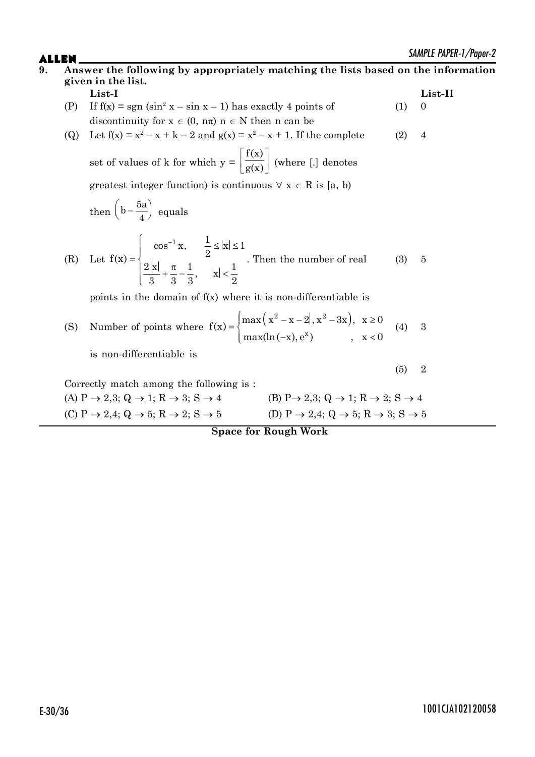|                                                                                                                                                                                    |     | SAMITLE PAPER-1/Paper-2 |
|------------------------------------------------------------------------------------------------------------------------------------------------------------------------------------|-----|-------------------------|
| Answer the following by appropriately matching the lists based on the information<br>given in the list.                                                                            |     |                         |
| List-I                                                                                                                                                                             |     | List-II                 |
| If $f(x) = sgn (sin^2 x - sin x - 1)$ has exactly 4 points of<br>(P)                                                                                                               | (1) | $\boldsymbol{0}$        |
| discontinuity for $x \in (0, n\pi)$ $n \in N$ then n can be                                                                                                                        |     |                         |
| Let $f(x) = x^2 - x + k - 2$ and $g(x) = x^2 - x + 1$ . If the complete<br>(Q)                                                                                                     | (2) | $\overline{4}$          |
| set of values of k for which $y = \left  \frac{f(x)}{g(x)} \right $ (where [.] denotes                                                                                             |     |                         |
| greatest integer function) is continuous $\forall x \in R$ is [a, b)                                                                                                               |     |                         |
| then $\left(b-\frac{5a}{4}\right)$ equals                                                                                                                                          |     |                         |
| (R) Let $f(x) = \begin{cases} \cos^{-1} x, & \frac{1}{2} \le  x  \le 1 \\ \frac{2 x }{2} + \frac{\pi}{2} - \frac{1}{2}, &  x  < \frac{1}{2} \end{cases}$ . Then the number of real | (3) | 5                       |
| points in the domain of $f(x)$ where it is non-differentiable is                                                                                                                   |     |                         |
| Number of points where $f(x) = \begin{cases} \max( x^2 - x - 2 , x^2 - 3x), & x \ge 0 \\ \max( n(-x) , e^x) & x < 0 \end{cases}$<br>(S)                                            | (4) | 3                       |
| is non-differentiable is                                                                                                                                                           |     |                         |
|                                                                                                                                                                                    | (5) | $\sqrt{2}$              |
| Correctly match among the following is:                                                                                                                                            |     |                         |
| (A) $P \rightarrow 2,3$ ; Q $\rightarrow 1$ ; R $\rightarrow 3$ ; S $\rightarrow 4$<br>$(B) P \rightarrow 2,3; Q \rightarrow 1; R \rightarrow 2; S \rightarrow 4$                  |     |                         |
| (D) P $\rightarrow$ 2,4; Q $\rightarrow$ 5; R $\rightarrow$ 3; S $\rightarrow$ 5<br>(C) P $\rightarrow$ 2,4; Q $\rightarrow$ 5; R $\rightarrow$ 2; S $\rightarrow$ 5               |     |                         |
| <b>Space for Rough Work</b>                                                                                                                                                        |     |                         |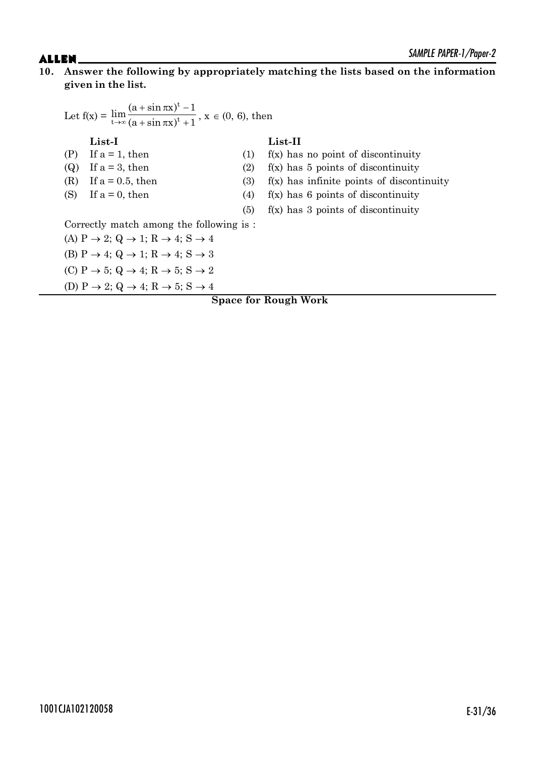### **10. Answer the following by appropriately matching the lists based on the information given in the list.**

| Let $f(x) = \lim_{t \to \infty} \frac{(a + \sin \pi x)^t - 1}{(a + \sin \pi x)^t + 1}$ , $x \in (0, 6)$ , then |            |                                             |
|----------------------------------------------------------------------------------------------------------------|------------|---------------------------------------------|
| $List-I$                                                                                                       |            | $List-II$                                   |
| If $a = 1$ , then<br>(P)                                                                                       | (1)        | $f(x)$ has no point of discontinuity        |
| If $a = 3$ , then<br>(Q)                                                                                       | (2)        | $f(x)$ has 5 points of discontinuity        |
| If $a = 0.5$ , then<br>(R)                                                                                     | <b>(3)</b> | $f(x)$ has infinite points of discontinuity |
| (S)<br>If $a = 0$ , then                                                                                       | (4)        | $f(x)$ has 6 points of discontinuity        |
|                                                                                                                | (5)        | $f(x)$ has 3 points of discontinuity        |
| Correctly match among the following is:                                                                        |            |                                             |
| (A) $P \rightarrow 2$ ; Q $\rightarrow 1$ ; R $\rightarrow 4$ ; S $\rightarrow 4$                              |            |                                             |
| (B) $P \rightarrow 4$ ; Q $\rightarrow 1$ ; R $\rightarrow 4$ ; S $\rightarrow 3$                              |            |                                             |
| (C) P $\rightarrow$ 5; Q $\rightarrow$ 4; R $\rightarrow$ 5; S $\rightarrow$ 2                                 |            |                                             |
| (D) P $\rightarrow$ 2; Q $\rightarrow$ 4; R $\rightarrow$ 5; S $\rightarrow$ 4                                 |            |                                             |
|                                                                                                                |            | <b>Space for Rough Work</b>                 |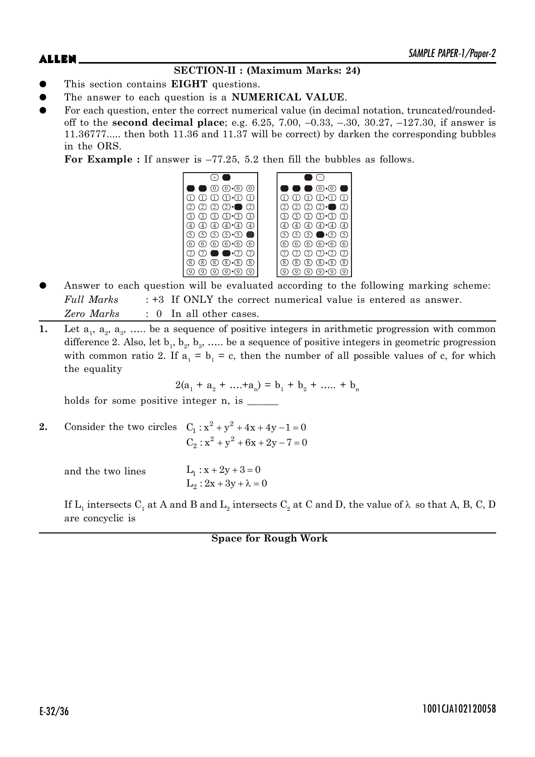### **SECTION-II : (Maximum Marks: 24)**

- z This section contains **EIGHT** questions.
- The answer to each question is a **NUMERICAL VALUE**.
- For each question, enter the correct numerical value (in decimal notation, truncated/roundedoff to the **second decimal place**; e.g. 6.25, 7.00, –0.33, –.30, 30.27, –127.30, if answer is 11.36777..... then both 11.36 and 11.37 will be correct) by darken the corresponding bubbles in the ORS.

For Example : If answer is  $-77.25$ , 5.2 then fill the bubbles as follows.



- Answer to each question will be evaluated according to the following marking scheme: *Full Marks* : +3 If ONLY the correct numerical value is entered as answer. *Zero Marks* : 0 In all other cases.
- **1.** Let  $a_1$ ,  $a_2$ ,  $a_3$ , ..... be a sequence of positive integers in arithmetic progression with common difference 2. Also, let  $b_1, b_2, b_3, \ldots$  be a sequence of positive integers in geometric progression with common ratio 2. If  $a_1 = b_1 = c$ , then the number of all possible values of c, for which the equality

 $2(a_1 + a_2 + \dots + a_n) = b_1 + b_2 + \dots + b_n$ 

holds for some positive integer n, is \_\_\_\_\_\_\_

**2.** Consider the two circles  $C_1: x^2 + y^2 + 4x + 4y - 1 = 0$  $C_2$ :  $x^2 + y^2 + 6x + 2y - 7 = 0$ 

and the two lines  $L_2: 2x + 3y + \lambda = 0$  $L_1 : x + 2y + 3 = 0$ 

If  $\rm L_i$  intersects  $\rm C_i$  at A and B and  $\rm L_i$  intersects  $\rm C_i$  at C and D, the value of  $\lambda$  so that A, B, C, D are concyclic is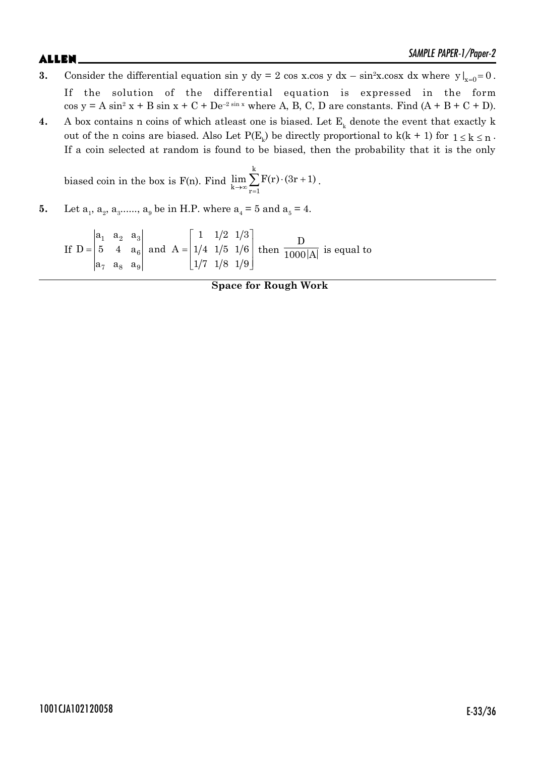# $ALLEN$   $\sum_{M|N|T}$   $\sum_{N}$   $\sum_{N}$   $\sum_{N}$   $\sum_{N}$   $\sum_{N}$   $\sum_{N}$   $\sum_{N}$   $\sum_{N}$   $\sum_{N}$   $\sum_{N}$   $\sum_{N}$   $\sum_{N}$   $\sum_{N}$   $\sum_{N}$   $\sum_{N}$   $\sum_{N}$   $\sum_{N}$   $\sum_{N}$   $\sum_{N}$   $\sum_{N}$   $\sum_{N}$   $\sum_{N}$   $\sum_{N}$   $\sum_{N}$   $\sum_{N}$   $\sum_{$

- **3.** Consider the differential equation sin y dy = 2 cos x.cos y dx  $\sin^2 x$ .cosx dx where y  $\vert_{x=0} = 0$ . If the solution of the differential equation is expressed in the form  $\cos y = A \sin^2 x + B \sin x + C + De^{-2 \sin x}$  where A, B, C, D are constants. Find  $(A + B + C + D)$ .
- **4.** A box contains n coins of which at least one is biased. Let  $E_k$  denote the event that exactly k out of the n coins are biased. Also Let  $P(E_k)$  be directly proportional to  $k(k + 1)$  for  $1 \le k \le n$ . If a coin selected at random is found to be biased, then the probability that it is the only

biased coin in the box is F(n). Find k  $k \rightarrow \infty$   $\overline{r=1}$  $\lim_{k\to\infty}\sum_{r=1}^r F(r)\cdot(3r+1)$  $\sum$ F(r) · (3r + 1).

**5.** Let  $a_1, a_2, a_3, \dots, a_9$  be in H.P. where  $a_4 = 5$  and  $a_5 = 4$ .

If  $1 \quad a_2 \quad a_3$ 6 7 a<sub>8</sub> a<sub>9</sub>  $a_1$   $a_2$   $a_3$  1 1  $\frac{1}{2}$  1/3  $D = \begin{vmatrix} 5 & 4 & a_6 \end{vmatrix}$  and  $A = \begin{vmatrix} 1/4 & 1/5 & 1/6 \end{vmatrix}$  $a_7$   $a_8$   $a_9$  1/7 1/8 1/9  $\begin{vmatrix} 1 & 1/2 & 1/3 \end{vmatrix}$  $=\begin{vmatrix} 1 & 2 & 0 \\ 5 & 4 & a_6 \end{vmatrix}$  and  $A = \begin{vmatrix} 1/4 & 1/5 & 1/6 \end{vmatrix}$  $\left\lfloor \frac{1}{7} \frac{1}{8} \frac{1}{9} \right\rfloor$  then D  $\overline{1000|\text{A}|}$  is equal to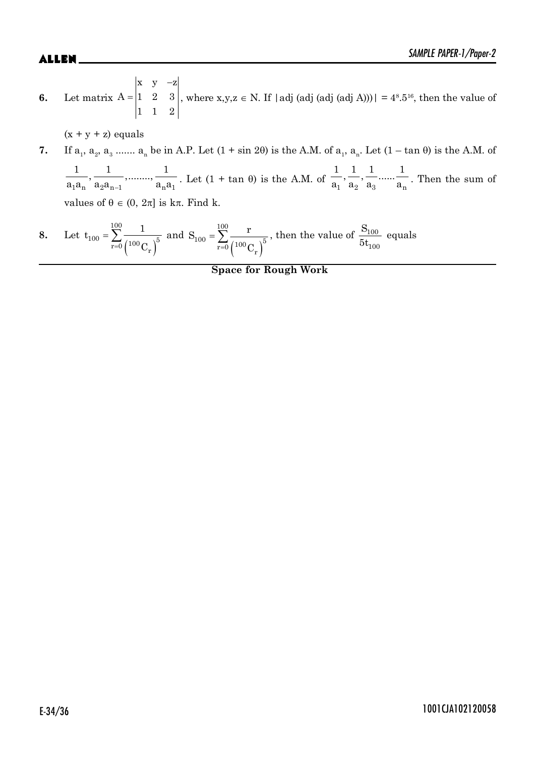**6.** Let matrix  $\overline{a}$  $=$  $x \quad y \quad -z$  $A = |1 2 3$ 11 2 , where  $x,y,z \in N$ . If | adj (adj (adj (adj A)))| =  $4^8.5^{16}$ , then the value of

 $(x + y + z)$  equals

7. If 
$$
a_1
$$
,  $a_2$ ,  $a_3$  .......  $a_n$  be in A.P. Let  $(1 + \sin 2\theta)$  is the A.M. of  $a_1$ ,  $a_n$ . Let  $(1 - \tan \theta)$  is the A.M. of  $\frac{1}{a_1 a_n}$ ,  $\frac{1}{a_2 a_{n-1}}$ , .......,  $\frac{1}{a_n a_1}$ . Let  $(1 + \tan \theta)$  is the A.M. of  $\frac{1}{a_1} \cdot \frac{1}{a_2} \cdot \frac{1}{a_3} \cdot \dots \cdot \frac{1}{a_n}$ . Then the sum of values of  $\theta \in (0, 2\pi]$  is  $k\pi$ . Find  $k$ .

8. Let 
$$
t_{100} = \sum_{r=0}^{100} \frac{1}{\left(100 \, \text{C}_r\right)^5}
$$
 and  $S_{100} = \sum_{r=0}^{100} \frac{r}{\left(100 \, \text{C}_r\right)^5}$ , then the value of  $\frac{S_{100}}{5t_{100}}$  equals

#### **Space for Rough Work**

# E-34/36 1001CJA102120058